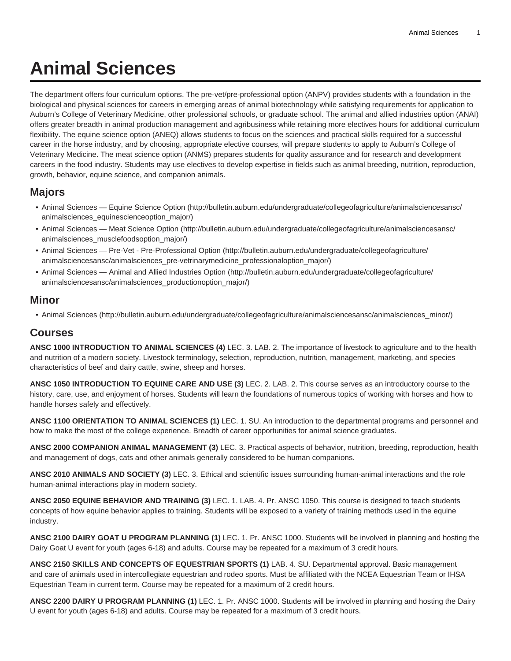## **Animal Sciences**

The department offers four curriculum options. The pre-vet/pre-professional option (ANPV) provides students with a foundation in the biological and physical sciences for careers in emerging areas of animal biotechnology while satisfying requirements for application to Auburn's College of Veterinary Medicine, other professional schools, or graduate school. The animal and allied industries option (ANAI) offers greater breadth in animal production management and agribusiness while retaining more electives hours for additional curriculum flexibility. The equine science option (ANEQ) allows students to focus on the sciences and practical skills required for a successful career in the horse industry, and by choosing, appropriate elective courses, will prepare students to apply to Auburn's College of Veterinary Medicine. The meat science option (ANMS) prepares students for quality assurance and for research and development careers in the food industry. Students may use electives to develop expertise in fields such as animal breeding, nutrition, reproduction, growth, behavior, equine science, and companion animals.

## **Majors**

- [Animal Sciences Equine Science Option](http://bulletin.auburn.edu/undergraduate/collegeofagriculture/animalsciencesansc/animalsciences_equinescienceoption_major/) ([http://bulletin.auburn.edu/undergraduate/collegeofagriculture/animalsciencesansc/](http://bulletin.auburn.edu/undergraduate/collegeofagriculture/animalsciencesansc/animalsciences_equinescienceoption_major/) [animalsciences\\_equinescienceoption\\_major/\)](http://bulletin.auburn.edu/undergraduate/collegeofagriculture/animalsciencesansc/animalsciences_equinescienceoption_major/)
- [Animal Sciences Meat Science Option](http://bulletin.auburn.edu/undergraduate/collegeofagriculture/animalsciencesansc/animalsciences_musclefoodsoption_major/) ([http://bulletin.auburn.edu/undergraduate/collegeofagriculture/animalsciencesansc/](http://bulletin.auburn.edu/undergraduate/collegeofagriculture/animalsciencesansc/animalsciences_musclefoodsoption_major/) [animalsciences\\_musclefoodsoption\\_major/\)](http://bulletin.auburn.edu/undergraduate/collegeofagriculture/animalsciencesansc/animalsciences_musclefoodsoption_major/)
- [Animal Sciences Pre-Vet Pre-Professional Option \(http://bulletin.auburn.edu/undergraduate/collegeofagriculture/](http://bulletin.auburn.edu/undergraduate/collegeofagriculture/animalsciencesansc/animalsciences_pre-vetrinarymedicine_professionaloption_major/) [animalsciencesansc/animalsciences\\_pre-vetrinarymedicine\\_professionaloption\\_major/](http://bulletin.auburn.edu/undergraduate/collegeofagriculture/animalsciencesansc/animalsciences_pre-vetrinarymedicine_professionaloption_major/))
- [Animal Sciences Animal and Allied Industries Option \(http://bulletin.auburn.edu/undergraduate/collegeofagriculture/](http://bulletin.auburn.edu/undergraduate/collegeofagriculture/animalsciencesansc/animalsciences_productionoption_major/) [animalsciencesansc/animalsciences\\_productionoption\\_major/](http://bulletin.auburn.edu/undergraduate/collegeofagriculture/animalsciencesansc/animalsciences_productionoption_major/))

## **Minor**

• [Animal Sciences \(http://bulletin.auburn.edu/undergraduate/collegeofagriculture/animalsciencesansc/animalsciences\\_minor/\)](http://bulletin.auburn.edu/undergraduate/collegeofagriculture/animalsciencesansc/animalsciences_minor/)

## **Courses**

**ANSC 1000 INTRODUCTION TO ANIMAL SCIENCES (4)** LEC. 3. LAB. 2. The importance of livestock to agriculture and to the health and nutrition of a modern society. Livestock terminology, selection, reproduction, nutrition, management, marketing, and species characteristics of beef and dairy cattle, swine, sheep and horses.

**ANSC 1050 INTRODUCTION TO EQUINE CARE AND USE (3)** LEC. 2. LAB. 2. This course serves as an introductory course to the history, care, use, and enjoyment of horses. Students will learn the foundations of numerous topics of working with horses and how to handle horses safely and effectively.

**ANSC 1100 ORIENTATION TO ANIMAL SCIENCES (1)** LEC. 1. SU. An introduction to the departmental programs and personnel and how to make the most of the college experience. Breadth of career opportunities for animal science graduates.

**ANSC 2000 COMPANION ANIMAL MANAGEMENT (3)** LEC. 3. Practical aspects of behavior, nutrition, breeding, reproduction, health and management of dogs, cats and other animals generally considered to be human companions.

**ANSC 2010 ANIMALS AND SOCIETY (3)** LEC. 3. Ethical and scientific issues surrounding human-animal interactions and the role human-animal interactions play in modern society.

**ANSC 2050 EQUINE BEHAVIOR AND TRAINING (3)** LEC. 1. LAB. 4. Pr. ANSC 1050. This course is designed to teach students concepts of how equine behavior applies to training. Students will be exposed to a variety of training methods used in the equine industry.

**ANSC 2100 DAIRY GOAT U PROGRAM PLANNING (1)** LEC. 1. Pr. ANSC 1000. Students will be involved in planning and hosting the Dairy Goat U event for youth (ages 6-18) and adults. Course may be repeated for a maximum of 3 credit hours.

**ANSC 2150 SKILLS AND CONCEPTS OF EQUESTRIAN SPORTS (1)** LAB. 4. SU. Departmental approval. Basic management and care of animals used in intercollegiate equestrian and rodeo sports. Must be affiliated with the NCEA Equestrian Team or IHSA Equestrian Team in current term. Course may be repeated for a maximum of 2 credit hours.

**ANSC 2200 DAIRY U PROGRAM PLANNING (1)** LEC. 1. Pr. ANSC 1000. Students will be involved in planning and hosting the Dairy U event for youth (ages 6-18) and adults. Course may be repeated for a maximum of 3 credit hours.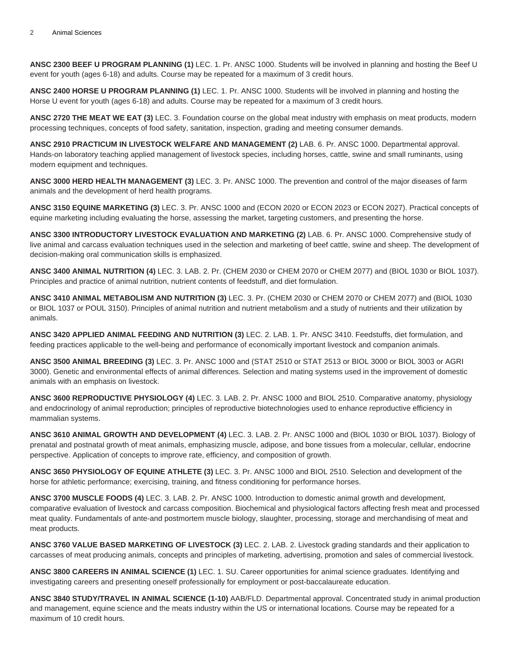**ANSC 2300 BEEF U PROGRAM PLANNING (1)** LEC. 1. Pr. ANSC 1000. Students will be involved in planning and hosting the Beef U event for youth (ages 6-18) and adults. Course may be repeated for a maximum of 3 credit hours.

**ANSC 2400 HORSE U PROGRAM PLANNING (1)** LEC. 1. Pr. ANSC 1000. Students will be involved in planning and hosting the Horse U event for youth (ages 6-18) and adults. Course may be repeated for a maximum of 3 credit hours.

**ANSC 2720 THE MEAT WE EAT (3)** LEC. 3. Foundation course on the global meat industry with emphasis on meat products, modern processing techniques, concepts of food safety, sanitation, inspection, grading and meeting consumer demands.

**ANSC 2910 PRACTICUM IN LIVESTOCK WELFARE AND MANAGEMENT (2)** LAB. 6. Pr. ANSC 1000. Departmental approval. Hands-on laboratory teaching applied management of livestock species, including horses, cattle, swine and small ruminants, using modern equipment and techniques.

**ANSC 3000 HERD HEALTH MANAGEMENT (3)** LEC. 3. Pr. ANSC 1000. The prevention and control of the major diseases of farm animals and the development of herd health programs.

**ANSC 3150 EQUINE MARKETING (3)** LEC. 3. Pr. ANSC 1000 and (ECON 2020 or ECON 2023 or ECON 2027). Practical concepts of equine marketing including evaluating the horse, assessing the market, targeting customers, and presenting the horse.

**ANSC 3300 INTRODUCTORY LIVESTOCK EVALUATION AND MARKETING (2)** LAB. 6. Pr. ANSC 1000. Comprehensive study of live animal and carcass evaluation techniques used in the selection and marketing of beef cattle, swine and sheep. The development of decision-making oral communication skills is emphasized.

**ANSC 3400 ANIMAL NUTRITION (4)** LEC. 3. LAB. 2. Pr. (CHEM 2030 or CHEM 2070 or CHEM 2077) and (BIOL 1030 or BIOL 1037). Principles and practice of animal nutrition, nutrient contents of feedstuff, and diet formulation.

**ANSC 3410 ANIMAL METABOLISM AND NUTRITION (3)** LEC. 3. Pr. (CHEM 2030 or CHEM 2070 or CHEM 2077) and (BIOL 1030 or BIOL 1037 or POUL 3150). Principles of animal nutrition and nutrient metabolism and a study of nutrients and their utilization by animals.

**ANSC 3420 APPLIED ANIMAL FEEDING AND NUTRITION (3)** LEC. 2. LAB. 1. Pr. ANSC 3410. Feedstuffs, diet formulation, and feeding practices applicable to the well-being and performance of economically important livestock and companion animals.

**ANSC 3500 ANIMAL BREEDING (3)** LEC. 3. Pr. ANSC 1000 and (STAT 2510 or STAT 2513 or BIOL 3000 or BIOL 3003 or AGRI 3000). Genetic and environmental effects of animal differences. Selection and mating systems used in the improvement of domestic animals with an emphasis on livestock.

**ANSC 3600 REPRODUCTIVE PHYSIOLOGY (4)** LEC. 3. LAB. 2. Pr. ANSC 1000 and BIOL 2510. Comparative anatomy, physiology and endocrinology of animal reproduction; principles of reproductive biotechnologies used to enhance reproductive efficiency in mammalian systems.

**ANSC 3610 ANIMAL GROWTH AND DEVELOPMENT (4)** LEC. 3. LAB. 2. Pr. ANSC 1000 and (BIOL 1030 or BIOL 1037). Biology of prenatal and postnatal growth of meat animals, emphasizing muscle, adipose, and bone tissues from a molecular, cellular, endocrine perspective. Application of concepts to improve rate, efficiency, and composition of growth.

**ANSC 3650 PHYSIOLOGY OF EQUINE ATHLETE (3)** LEC. 3. Pr. ANSC 1000 and BIOL 2510. Selection and development of the horse for athletic performance; exercising, training, and fitness conditioning for performance horses.

**ANSC 3700 MUSCLE FOODS (4)** LEC. 3. LAB. 2. Pr. ANSC 1000. Introduction to domestic animal growth and development, comparative evaluation of livestock and carcass composition. Biochemical and physiological factors affecting fresh meat and processed meat quality. Fundamentals of ante-and postmortem muscle biology, slaughter, processing, storage and merchandising of meat and meat products.

**ANSC 3760 VALUE BASED MARKETING OF LIVESTOCK (3)** LEC. 2. LAB. 2. Livestock grading standards and their application to carcasses of meat producing animals, concepts and principles of marketing, advertising, promotion and sales of commercial livestock.

**ANSC 3800 CAREERS IN ANIMAL SCIENCE (1)** LEC. 1. SU. Career opportunities for animal science graduates. Identifying and investigating careers and presenting oneself professionally for employment or post-baccalaureate education.

**ANSC 3840 STUDY/TRAVEL IN ANIMAL SCIENCE (1-10)** AAB/FLD. Departmental approval. Concentrated study in animal production and management, equine science and the meats industry within the US or international locations. Course may be repeated for a maximum of 10 credit hours.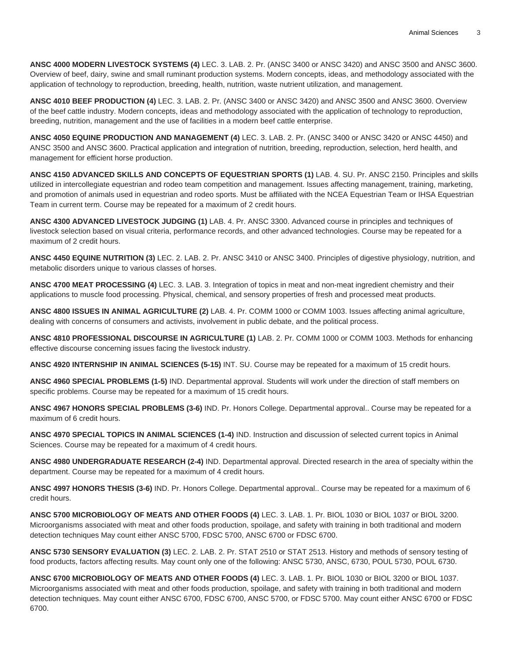**ANSC 4000 MODERN LIVESTOCK SYSTEMS (4)** LEC. 3. LAB. 2. Pr. (ANSC 3400 or ANSC 3420) and ANSC 3500 and ANSC 3600. Overview of beef, dairy, swine and small ruminant production systems. Modern concepts, ideas, and methodology associated with the application of technology to reproduction, breeding, health, nutrition, waste nutrient utilization, and management.

**ANSC 4010 BEEF PRODUCTION (4)** LEC. 3. LAB. 2. Pr. (ANSC 3400 or ANSC 3420) and ANSC 3500 and ANSC 3600. Overview of the beef cattle industry. Modern concepts, ideas and methodology associated with the application of technology to reproduction, breeding, nutrition, management and the use of facilities in a modern beef cattle enterprise.

**ANSC 4050 EQUINE PRODUCTION AND MANAGEMENT (4)** LEC. 3. LAB. 2. Pr. (ANSC 3400 or ANSC 3420 or ANSC 4450) and ANSC 3500 and ANSC 3600. Practical application and integration of nutrition, breeding, reproduction, selection, herd health, and management for efficient horse production.

**ANSC 4150 ADVANCED SKILLS AND CONCEPTS OF EQUESTRIAN SPORTS (1)** LAB. 4. SU. Pr. ANSC 2150. Principles and skills utilized in intercollegiate equestrian and rodeo team competition and management. Issues affecting management, training, marketing, and promotion of animals used in equestrian and rodeo sports. Must be affiliated with the NCEA Equestrian Team or IHSA Equestrian Team in current term. Course may be repeated for a maximum of 2 credit hours.

**ANSC 4300 ADVANCED LIVESTOCK JUDGING (1)** LAB. 4. Pr. ANSC 3300. Advanced course in principles and techniques of livestock selection based on visual criteria, performance records, and other advanced technologies. Course may be repeated for a maximum of 2 credit hours.

**ANSC 4450 EQUINE NUTRITION (3)** LEC. 2. LAB. 2. Pr. ANSC 3410 or ANSC 3400. Principles of digestive physiology, nutrition, and metabolic disorders unique to various classes of horses.

**ANSC 4700 MEAT PROCESSING (4)** LEC. 3. LAB. 3. Integration of topics in meat and non-meat ingredient chemistry and their applications to muscle food processing. Physical, chemical, and sensory properties of fresh and processed meat products.

**ANSC 4800 ISSUES IN ANIMAL AGRICULTURE (2)** LAB. 4. Pr. COMM 1000 or COMM 1003. Issues affecting animal agriculture, dealing with concerns of consumers and activists, involvement in public debate, and the political process.

**ANSC 4810 PROFESSIONAL DISCOURSE IN AGRICULTURE (1)** LAB. 2. Pr. COMM 1000 or COMM 1003. Methods for enhancing effective discourse concerning issues facing the livestock industry.

**ANSC 4920 INTERNSHIP IN ANIMAL SCIENCES (5-15)** INT. SU. Course may be repeated for a maximum of 15 credit hours.

**ANSC 4960 SPECIAL PROBLEMS (1-5)** IND. Departmental approval. Students will work under the direction of staff members on specific problems. Course may be repeated for a maximum of 15 credit hours.

**ANSC 4967 HONORS SPECIAL PROBLEMS (3-6)** IND. Pr. Honors College. Departmental approval.. Course may be repeated for a maximum of 6 credit hours.

**ANSC 4970 SPECIAL TOPICS IN ANIMAL SCIENCES (1-4)** IND. Instruction and discussion of selected current topics in Animal Sciences. Course may be repeated for a maximum of 4 credit hours.

**ANSC 4980 UNDERGRADUATE RESEARCH (2-4)** IND. Departmental approval. Directed research in the area of specialty within the department. Course may be repeated for a maximum of 4 credit hours.

**ANSC 4997 HONORS THESIS (3-6)** IND. Pr. Honors College. Departmental approval.. Course may be repeated for a maximum of 6 credit hours.

**ANSC 5700 MICROBIOLOGY OF MEATS AND OTHER FOODS (4)** LEC. 3. LAB. 1. Pr. BIOL 1030 or BIOL 1037 or BIOL 3200. Microorganisms associated with meat and other foods production, spoilage, and safety with training in both traditional and modern detection techniques May count either ANSC 5700, FDSC 5700, ANSC 6700 or FDSC 6700.

**ANSC 5730 SENSORY EVALUATION (3)** LEC. 2. LAB. 2. Pr. STAT 2510 or STAT 2513. History and methods of sensory testing of food products, factors affecting results. May count only one of the following: ANSC 5730, ANSC, 6730, POUL 5730, POUL 6730.

**ANSC 6700 MICROBIOLOGY OF MEATS AND OTHER FOODS (4)** LEC. 3. LAB. 1. Pr. BIOL 1030 or BIOL 3200 or BIOL 1037. Microorganisms associated with meat and other foods production, spoilage, and safety with training in both traditional and modern detection techniques. May count either ANSC 6700, FDSC 6700, ANSC 5700, or FDSC 5700. May count either ANSC 6700 or FDSC 6700.